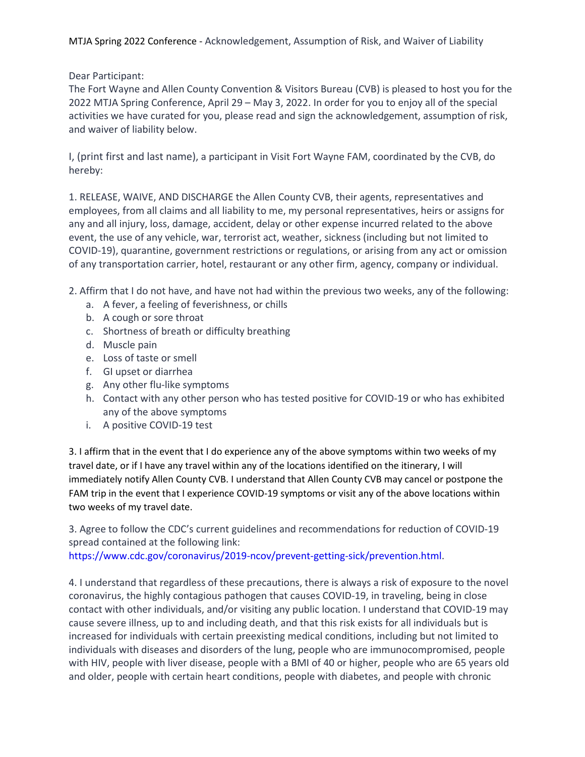MTJA Spring 2022 Conference - Acknowledgement, Assumption of Risk, and Waiver of Liability

Dear Participant:

The Fort Wayne and Allen County Convention & Visitors Bureau (CVB) is pleased to host you for the 2022 MTJA Spring Conference, April 29 – May 3, 2022. In order for you to enjoy all of the special activities we have curated for you, please read and sign the acknowledgement, assumption of risk, and waiver of liability below.

I, (print first and last name), a participant in Visit Fort Wayne FAM, coordinated by the CVB, do hereby:

1. RELEASE, WAIVE, AND DISCHARGE the Allen County CVB, their agents, representatives and employees, from all claims and all liability to me, my personal representatives, heirs or assigns for any and all injury, loss, damage, accident, delay or other expense incurred related to the above event, the use of any vehicle, war, terrorist act, weather, sickness (including but not limited to COVID-19), quarantine, government restrictions or regulations, or arising from any act or omission of any transportation carrier, hotel, restaurant or any other firm, agency, company or individual.

2. Affirm that I do not have, and have not had within the previous two weeks, any of the following:

- a. A fever, a feeling of feverishness, or chills
- b. A cough or sore throat
- c. Shortness of breath or difficulty breathing
- d. Muscle pain
- e. Loss of taste or smell
- f. GI upset or diarrhea
- g. Any other flu-like symptoms
- h. Contact with any other person who has tested positive for COVID-19 or who has exhibited any of the above symptoms
- i. A positive COVID-19 test

3. I affirm that in the event that I do experience any of the above symptoms within two weeks of my travel date, or if I have any travel within any of the locations identified on the itinerary, I will immediately notify Allen County CVB. I understand that Allen County CVB may cancel or postpone the FAM trip in the event that I experience COVID-19 symptoms or visit any of the above locations within two weeks of my travel date.

3. Agree to follow the CDC's current guidelines and recommendations for reduction of COVID-19 spread contained at the following link:

https://www.cdc.gov/coronavirus/2019-ncov/prevent-getting-sick/prevention.html.

4. I understand that regardless of these precautions, there is always a risk of exposure to the novel coronavirus, the highly contagious pathogen that causes COVID-19, in traveling, being in close contact with other individuals, and/or visiting any public location. I understand that COVID-19 may cause severe illness, up to and including death, and that this risk exists for all individuals but is increased for individuals with certain preexisting medical conditions, including but not limited to individuals with diseases and disorders of the lung, people who are immunocompromised, people with HIV, people with liver disease, people with a BMI of 40 or higher, people who are 65 years old and older, people with certain heart conditions, people with diabetes, and people with chronic